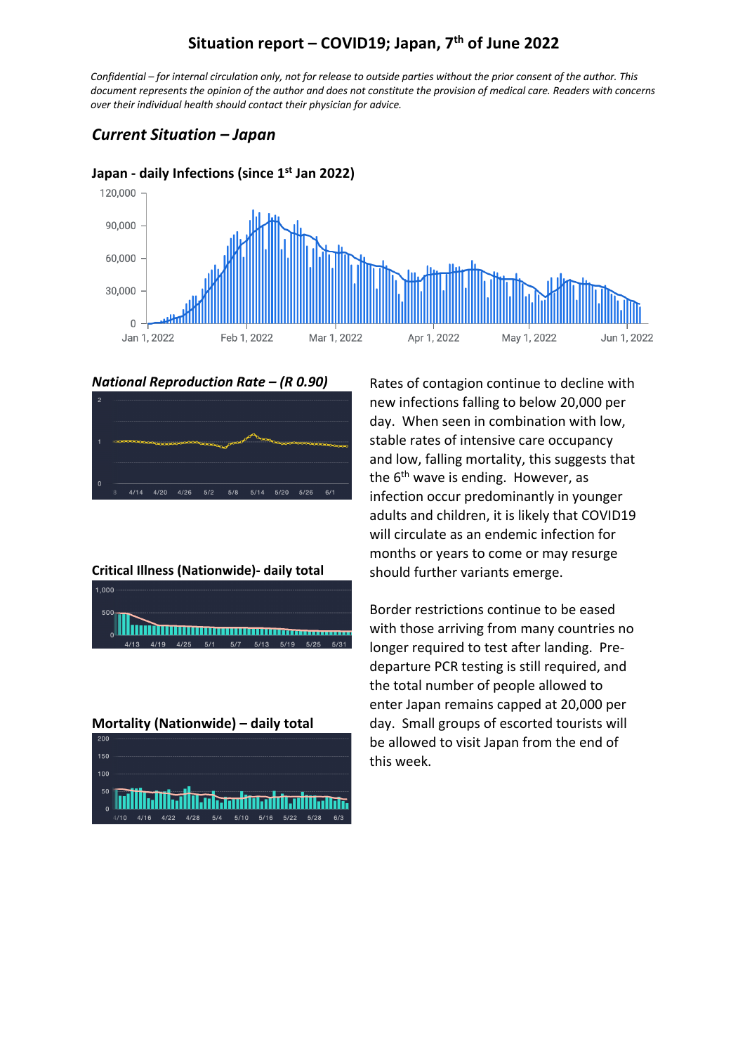## **Situation report – COVID19; Japan, 7th of June 2022**

*Confidential – for internal circulation only, not for release to outside parties without the prior consent of the author. This document represents the opinion of the author and does not constitute the provision of medical care. Readers with concerns over their individual health should contact their physician for advice.*

## *Current Situation – Japan*



#### **Japan - daily Infections (since 1st Jan 2022)**

*National Reproduction Rate – (R 0.90)*



**Critical Illness (Nationwide)- daily total**



**Mortality (Nationwide) – daily total**



Rates of contagion continue to decline with new infections falling to below 20,000 per day. When seen in combination with low, stable rates of intensive care occupancy and low, falling mortality, this suggests that the  $6<sup>th</sup>$  wave is ending. However, as infection occur predominantly in younger adults and children, it is likely that COVID19 will circulate as an endemic infection for months or years to come or may resurge should further variants emerge.

Border restrictions continue to be eased with those arriving from many countries no longer required to test after landing. Predeparture PCR testing is still required, and the total number of people allowed to enter Japan remains capped at 20,000 per day. Small groups of escorted tourists will be allowed to visit Japan from the end of this week.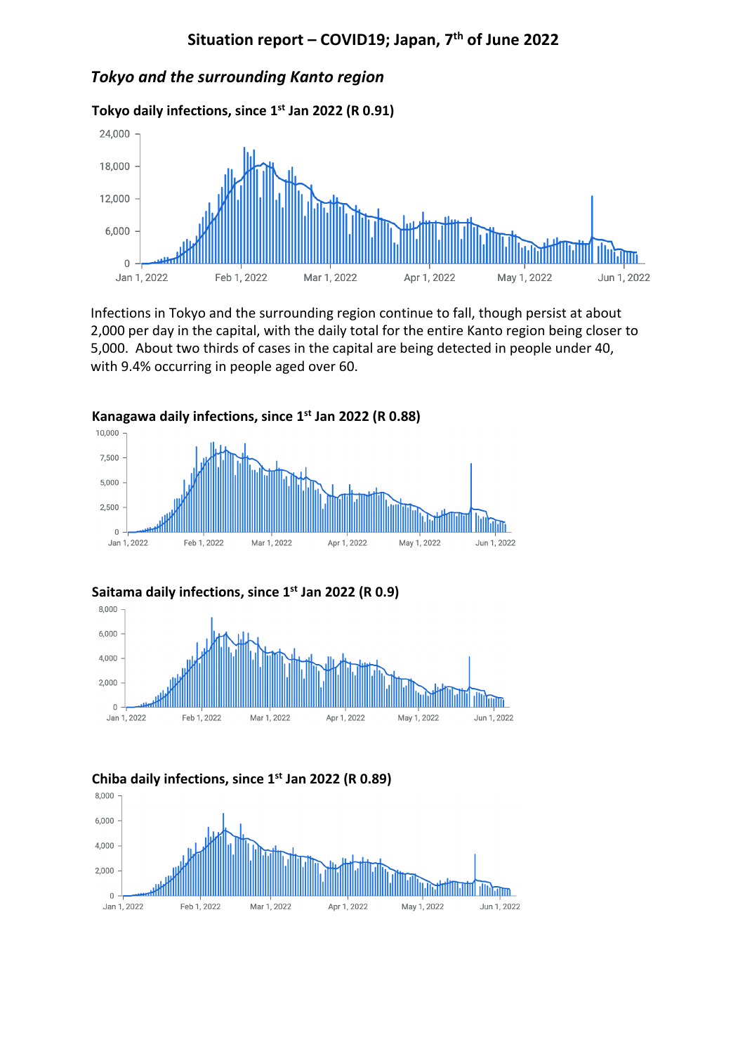## *Tokyo and the surrounding Kanto region*

**Tokyo daily infections, since 1st Jan 2022 (R 0.91)**



Infections in Tokyo and the surrounding region continue to fall, though persist at about 2,000 per day in the capital, with the daily total for the entire Kanto region being closer to 5,000. About two thirds of cases in the capital are being detected in people under 40, with 9.4% occurring in people aged over 60.





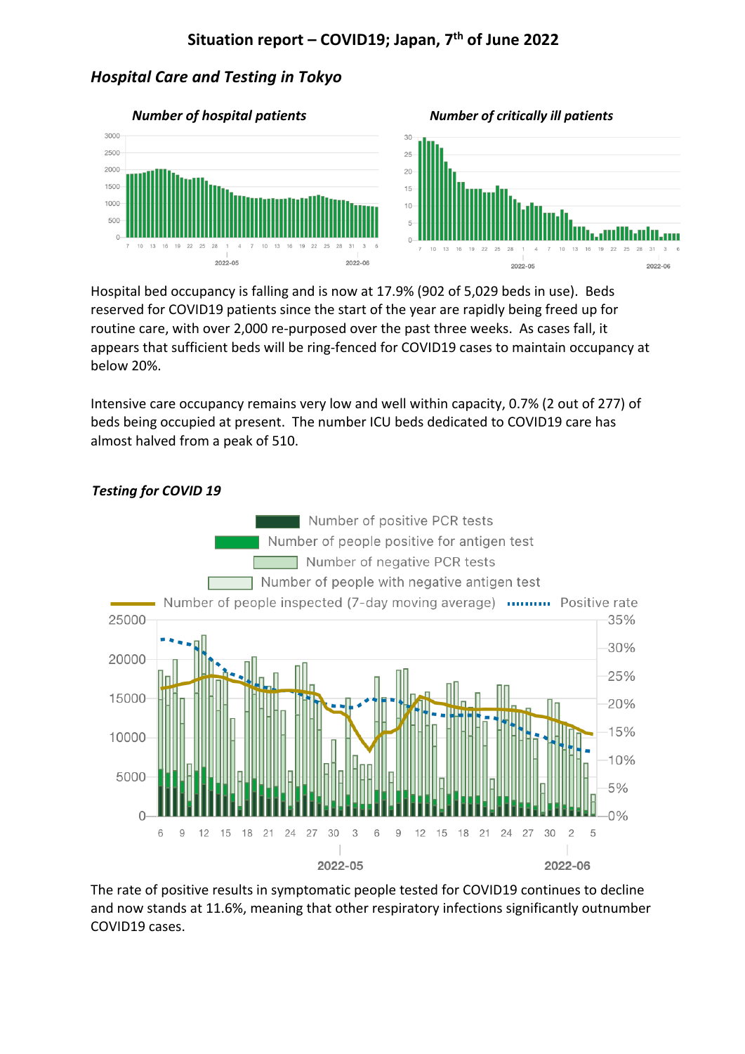# **Situation report – COVID19; Japan, 7th of June 2022**

### *Hospital Care and Testing in Tokyo*



Hospital bed occupancy is falling and is now at 17.9% (902 of 5,029 beds in use). Beds reserved for COVID19 patients since the start of the year are rapidly being freed up for routine care, with over 2,000 re-purposed over the past three weeks. As cases fall, it appears that sufficient beds will be ring-fenced for COVID19 cases to maintain occupancy at below 20%.

Intensive care occupancy remains very low and well within capacity, 0.7% (2 out of 277) of beds being occupied at present. The number ICU beds dedicated to COVID19 care has almost halved from a peak of 510.



#### *Testing for COVID 19*

The rate of positive results in symptomatic people tested for COVID19 continues to decline and now stands at 11.6%, meaning that other respiratory infections significantly outnumber COVID19 cases.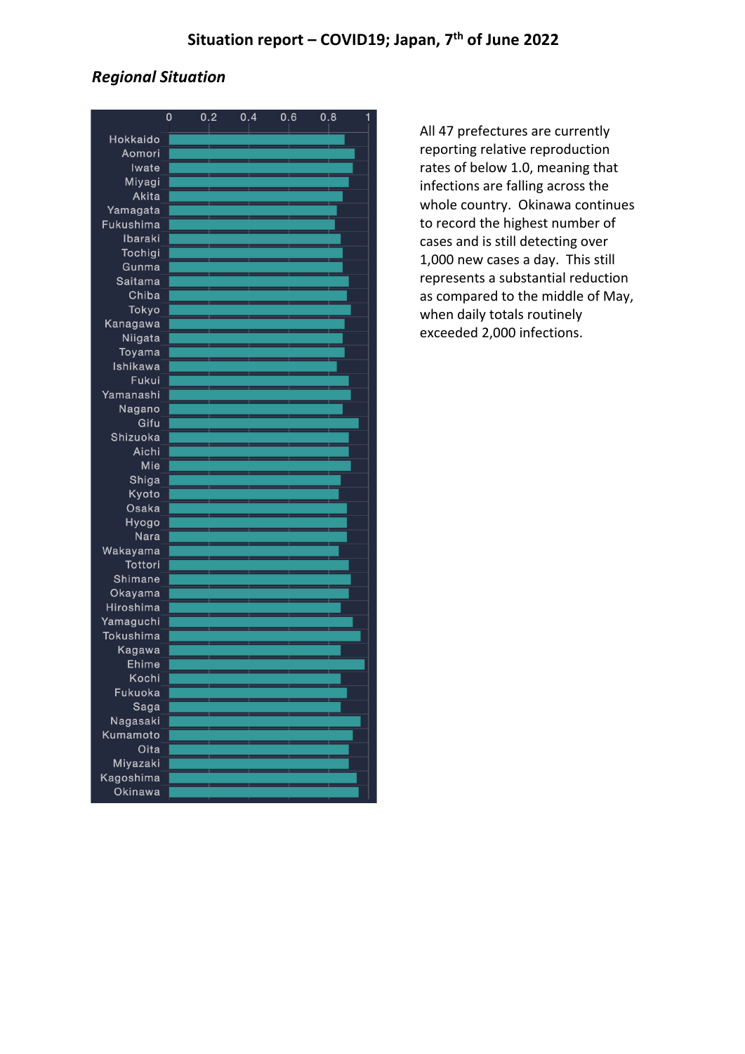## *Regional Situation*

|                      | 0 | 0.2 | 0.4 | 0.6 | 0.8 |  |
|----------------------|---|-----|-----|-----|-----|--|
| Hokkaido             |   |     |     |     |     |  |
| Aomori               |   |     |     |     |     |  |
| Iwate                |   |     |     |     |     |  |
| Miyagi               |   |     |     |     |     |  |
| Akita                |   |     |     |     |     |  |
| Yamagata             |   |     |     |     |     |  |
| Fukushima            |   |     |     |     |     |  |
| Ibaraki              |   |     |     |     |     |  |
| Tochigi              |   |     |     |     |     |  |
| Gunma                |   |     |     |     |     |  |
| Saitama              |   |     |     |     |     |  |
| Chiba                |   |     |     |     |     |  |
| Tokyo                |   |     |     |     |     |  |
| Kanagawa<br>Niigata  |   |     |     |     |     |  |
| Toyama               |   |     |     |     |     |  |
| Ishikawa             |   |     |     |     |     |  |
| Fukui                |   |     |     |     |     |  |
| Yamanashi            |   |     |     |     |     |  |
| Nagano               |   |     |     |     |     |  |
| Gifu                 |   |     |     |     |     |  |
| Shizuoka             |   |     |     |     |     |  |
| Aichi                |   |     |     |     |     |  |
| Mie                  |   |     |     |     |     |  |
| Shiga                |   |     |     |     |     |  |
| Kyoto                |   |     |     |     |     |  |
| Osaka                |   |     |     |     |     |  |
| Hyogo                |   |     |     |     |     |  |
| Nara                 |   |     |     |     |     |  |
| Wakayama             |   |     |     |     |     |  |
| Tottori              |   |     |     |     |     |  |
| Shimane              |   |     |     |     |     |  |
| Okayama<br>Hiroshima |   |     |     |     |     |  |
| Yamaguchi            |   |     |     |     |     |  |
| Tokushima            |   |     |     |     |     |  |
| Kagawa               |   |     |     |     |     |  |
| Ehime                |   |     |     |     |     |  |
| Kochi                |   |     |     |     |     |  |
| Fukuoka              |   |     |     |     |     |  |
| Saga                 |   |     |     |     |     |  |
| Nagasaki             |   |     |     |     |     |  |
| Kumamoto             |   |     |     |     |     |  |
| Oita                 |   |     |     |     |     |  |
| Miyazaki             |   |     |     |     |     |  |
| Kagoshima            |   |     |     |     |     |  |
| Okingwa              |   |     |     |     |     |  |

All 47 prefectures are currently reporting relative reproduction rates of below 1.0, meaning that infections are falling across the whole country. Okinawa continues to record the highest number of cases and is still detecting over 1,000 new cases a day. This still represents a substantial reduction as compared to the middle of May, when daily totals routinely exceeded 2,000 infections.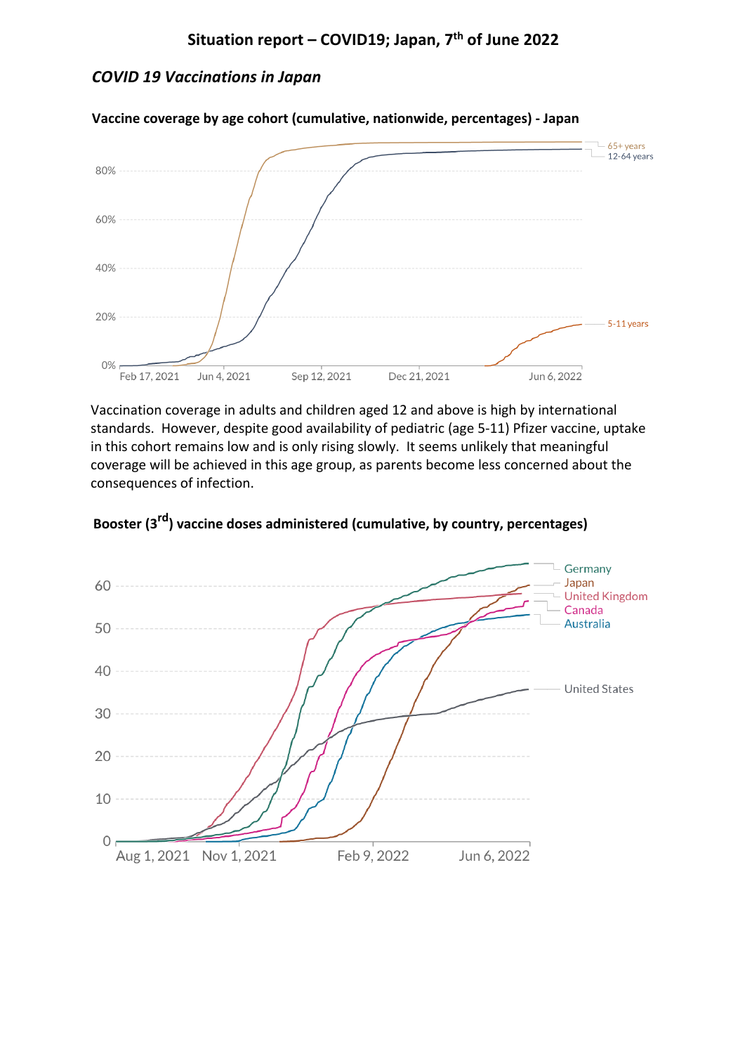# *COVID 19 Vaccinations in Japan*



**Vaccine coverage by age cohort (cumulative, nationwide, percentages) - Japan**

Vaccination coverage in adults and children aged 12 and above is high by international standards. However, despite good availability of pediatric (age 5-11) Pfizer vaccine, uptake in this cohort remains low and is only rising slowly. It seems unlikely that meaningful coverage will be achieved in this age group, as parents become less concerned about the consequences of infection.